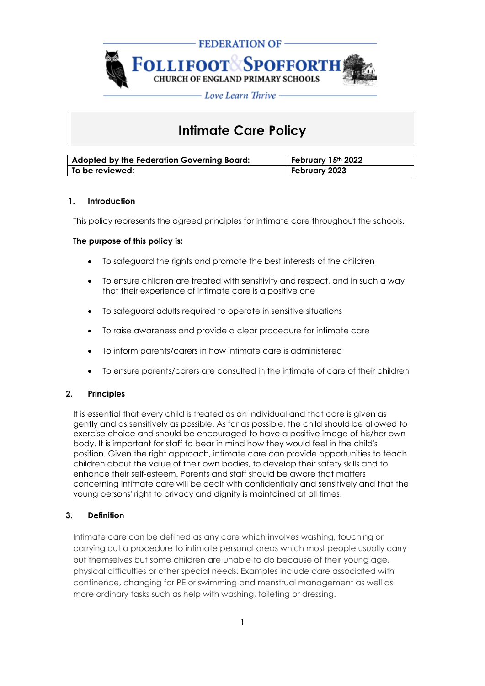

# **Intimate Care Policy**

| Adopted by the Federation Governing Board: | February 15th 2022 |
|--------------------------------------------|--------------------|
| To be reviewed:                            | February 2023      |

## **1. Introduction**

This policy represents the agreed principles for intimate care throughout the schools.

## **The purpose of this policy is:**

- To safeguard the rights and promote the best interests of the children
- To ensure children are treated with sensitivity and respect, and in such a way that their experience of intimate care is a positive one
- To safeguard adults required to operate in sensitive situations
- To raise awareness and provide a clear procedure for intimate care
- To inform parents/carers in how intimate care is administered
- To ensure parents/carers are consulted in the intimate of care of their children

## **2. Principles**

It is essential that every child is treated as an individual and that care is given as gently and as sensitively as possible. As far as possible, the child should be allowed to exercise choice and should be encouraged to have a positive image of his/her own body. It is important for staff to bear in mind how they would feel in the child's position. Given the right approach, intimate care can provide opportunities to teach children about the value of their own bodies, to develop their safety skills and to enhance their self-esteem. Parents and staff should be aware that matters concerning intimate care will be dealt with confidentially and sensitively and that the young persons' right to privacy and dignity is maintained at all times.

## **3. Definition**

Intimate care can be defined as any care which involves washing, touching or carrying out a procedure to intimate personal areas which most people usually carry out themselves but some children are unable to do because of their young age, physical difficulties or other special needs. Examples include care associated with continence, changing for PE or swimming and menstrual management as well as more ordinary tasks such as help with washing, toileting or dressing.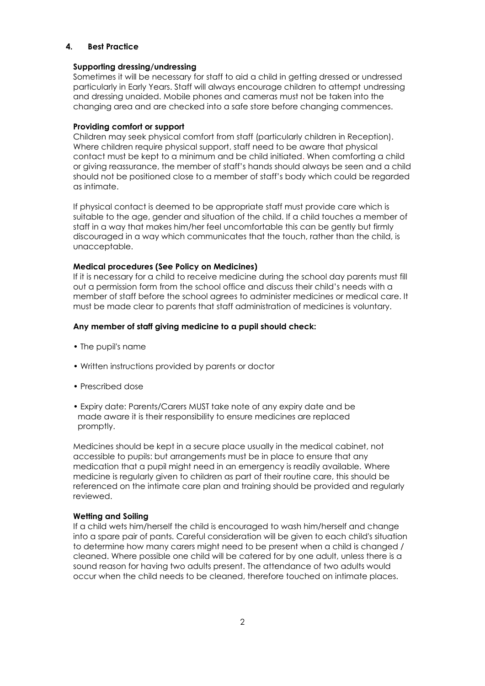#### **4. Best Practice**

#### **Supporting dressing/undressing**

Sometimes it will be necessary for staff to aid a child in getting dressed or undressed particularly in Early Years. Staff will always encourage children to attempt undressing and dressing unaided. Mobile phones and cameras must not be taken into the changing area and are checked into a safe store before changing commences.

#### **Providing comfort or support**

Children may seek physical comfort from staff (particularly children in Reception). Where children require physical support, staff need to be aware that physical contact must be kept to a minimum and be child initiated. When comforting a child or giving reassurance, the member of staff's hands should always be seen and a child should not be positioned close to a member of staff's body which could be regarded as intimate.

If physical contact is deemed to be appropriate staff must provide care which is suitable to the age, gender and situation of the child. If a child touches a member of staff in a way that makes him/her feel uncomfortable this can be gently but firmly discouraged in a way which communicates that the touch, rather than the child, is unacceptable.

#### **Medical procedures (See Policy on Medicines)**

If it is necessary for a child to receive medicine during the school day parents must fill out a permission form from the school office and discuss their child's needs with a member of staff before the school agrees to administer medicines or medical care. It must be made clear to parents that staff administration of medicines is voluntary.

#### **Any member of staff giving medicine to a pupil should check:**

- The pupil's name
- Written instructions provided by parents or doctor
- Prescribed dose
- Expiry date: Parents/Carers MUST take note of any expiry date and be made aware it is their responsibility to ensure medicines are replaced promptly.

Medicines should be kept in a secure place usually in the medical cabinet, not accessible to pupils: but arrangements must be in place to ensure that any medication that a pupil might need in an emergency is readily available. Where medicine is regularly given to children as part of their routine care, this should be referenced on the intimate care plan and training should be provided and regularly reviewed.

#### **Wetting and Soiling**

If a child wets him/herself the child is encouraged to wash him/herself and change into a spare pair of pants. Careful consideration will be given to each child's situation to determine how many carers might need to be present when a child is changed / cleaned. Where possible one child will be catered for by one adult, unless there is a sound reason for having two adults present. The attendance of two adults would occur when the child needs to be cleaned, therefore touched on intimate places.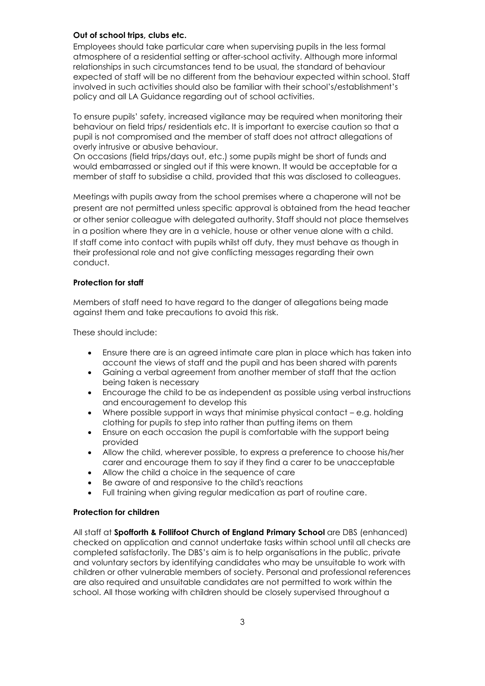#### **Out of school trips, clubs etc.**

Employees should take particular care when supervising pupils in the less formal atmosphere of a residential setting or after-school activity. Although more informal relationships in such circumstances tend to be usual, the standard of behaviour expected of staff will be no different from the behaviour expected within school. Staff involved in such activities should also be familiar with their school's/establishment's policy and all LA Guidance regarding out of school activities.

To ensure pupils' safety, increased vigilance may be required when monitoring their behaviour on field trips/ residentials etc. It is important to exercise caution so that a pupil is not compromised and the member of staff does not attract allegations of overly intrusive or abusive behaviour.

On occasions (field trips/days out, etc.) some pupils might be short of funds and would embarrassed or singled out if this were known. It would be acceptable for a member of staff to subsidise a child, provided that this was disclosed to colleagues.

Meetings with pupils away from the school premises where a chaperone will not be present are not permitted unless specific approval is obtained from the head teacher or other senior colleague with delegated authority. Staff should not place themselves in a position where they are in a vehicle, house or other venue alone with a child. If staff come into contact with pupils whilst off duty, they must behave as though in their professional role and not give conflicting messages regarding their own conduct.

#### **Protection for staff**

Members of staff need to have regard to the danger of allegations being made against them and take precautions to avoid this risk.

These should include:

- Ensure there are is an agreed intimate care plan in place which has taken into account the views of staff and the pupil and has been shared with parents
- Gaining a verbal agreement from another member of staff that the action being taken is necessary
- Encourage the child to be as independent as possible using verbal instructions and encouragement to develop this
- Where possible support in ways that minimise physical contact e.g. holding clothing for pupils to step into rather than putting items on them
- Ensure on each occasion the pupil is comfortable with the support being provided
- Allow the child, wherever possible, to express a preference to choose his/her carer and encourage them to say if they find a carer to be unacceptable
- Allow the child a choice in the sequence of care
- Be aware of and responsive to the child's reactions
- Full training when giving regular medication as part of routine care.

#### **Protection for children**

All staff at **Spofforth & Follifoot Church of England Primary School** are DBS (enhanced) checked on application and cannot undertake tasks within school until all checks are completed satisfactorily. The DBS's aim is to help organisations in the public, private and voluntary sectors by identifying candidates who may be unsuitable to work with children or other vulnerable members of society. Personal and professional references are also required and unsuitable candidates are not permitted to work within the school. All those working with children should be closely supervised throughout a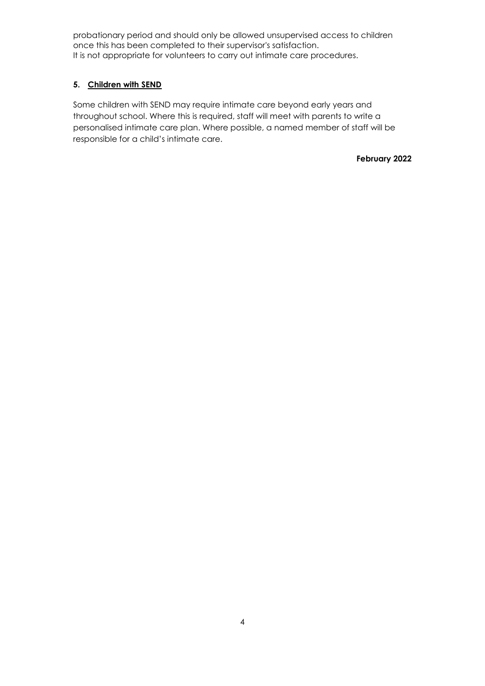probationary period and should only be allowed unsupervised access to children once this has been completed to their supervisor's satisfaction. It is not appropriate for volunteers to carry out intimate care procedures.

# **5. Children with SEND**

Some children with SEND may require intimate care beyond early years and throughout school. Where this is required, staff will meet with parents to write a personalised intimate care plan. Where possible, a named member of staff will be responsible for a child's intimate care.

**February 2022**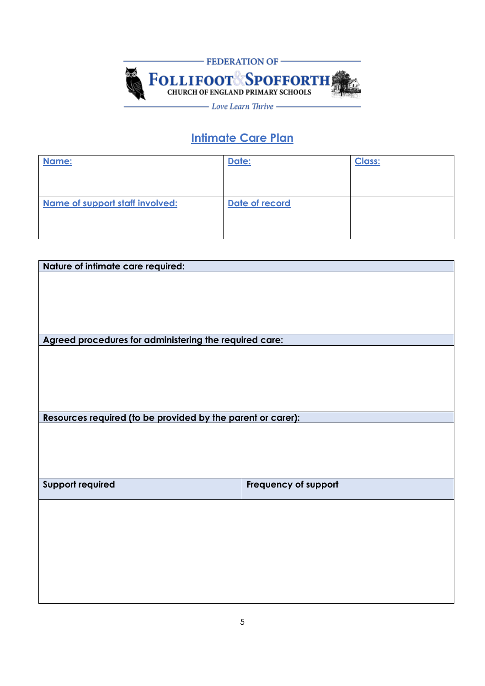

# **Intimate Care Plan**

| Name:                           | Date:          | <b>Class:</b> |
|---------------------------------|----------------|---------------|
|                                 |                |               |
|                                 |                |               |
| Name of support staff involved: | Date of record |               |
|                                 |                |               |
|                                 |                |               |
|                                 |                |               |

| Nature of intimate care required:                           |                      |  |
|-------------------------------------------------------------|----------------------|--|
|                                                             |                      |  |
|                                                             |                      |  |
|                                                             |                      |  |
|                                                             |                      |  |
|                                                             |                      |  |
| Agreed procedures for administering the required care:      |                      |  |
|                                                             |                      |  |
|                                                             |                      |  |
|                                                             |                      |  |
|                                                             |                      |  |
|                                                             |                      |  |
| Resources required (to be provided by the parent or carer): |                      |  |
|                                                             |                      |  |
|                                                             |                      |  |
|                                                             |                      |  |
|                                                             |                      |  |
| <b>Support required</b>                                     |                      |  |
|                                                             | Frequency of support |  |
|                                                             |                      |  |
|                                                             |                      |  |
|                                                             |                      |  |
|                                                             |                      |  |
|                                                             |                      |  |
|                                                             |                      |  |
|                                                             |                      |  |
|                                                             |                      |  |